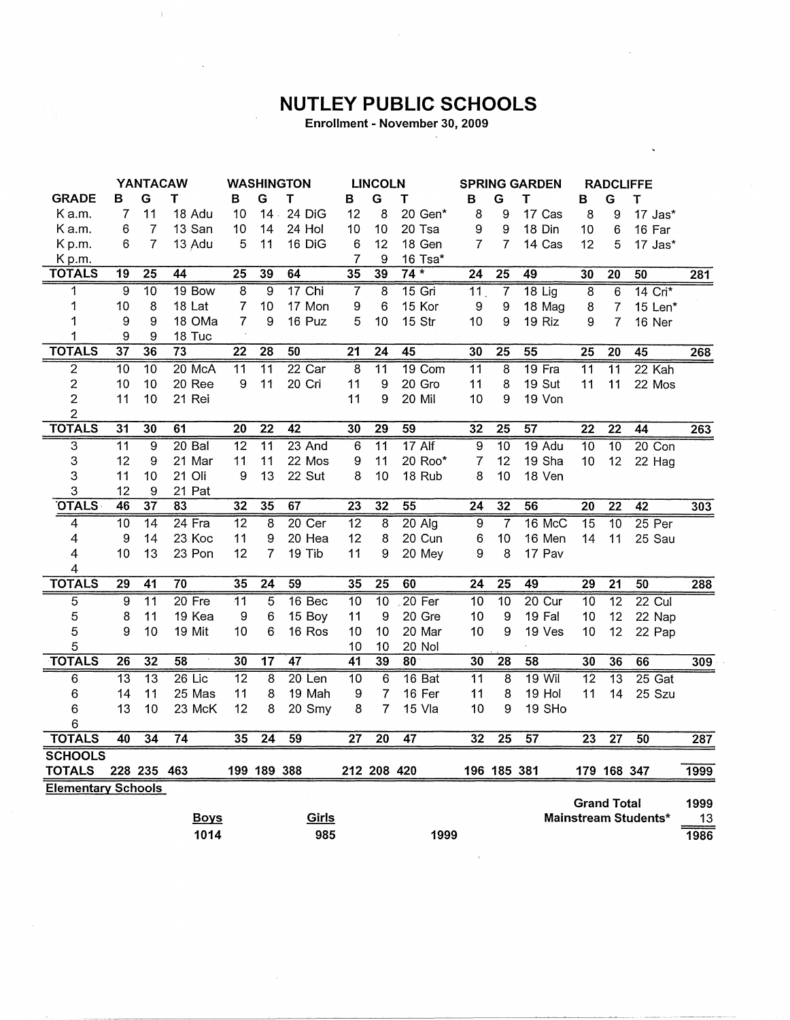## **NUTLEY PUBLIC SCHOOLS**

Enrollment - November 30, 2009

|                           |                 | <b>YANTACAW</b> |                 |                 |                 | <b>WASHINGTON</b> |                 | <b>LINCOLN</b>  |                 | <b>SPRING GARDEN</b> |                 |                 | <b>RADCLIFFE</b> |                    |                      |      |
|---------------------------|-----------------|-----------------|-----------------|-----------------|-----------------|-------------------|-----------------|-----------------|-----------------|----------------------|-----------------|-----------------|------------------|--------------------|----------------------|------|
| <b>GRADE</b>              | в               | G               | т               | в               | G               | т                 | в               | G               | т               | в                    | G               | т               | в                | G                  | т                    |      |
| K a.m.                    | 7               | 11              | 18 Adu          | 10              | $14 -$          | 24 DiG            | 12              | 8               | 20 Gen*         | 8                    | 9               | 17 Cas          | 8                | 9                  | 17 Jas*              |      |
| Ka.m.                     | 6               | $\overline{7}$  | 13 San          | 10              | 14              | 24 Hol            | 10              | 10              | 20 Tsa          | 9                    | 9               | 18 Din          | 10               | 6                  | 16 Far               |      |
| Kp.m.                     | 6               | $\overline{7}$  | 13 Adu          | 5               | 11              | 16 DiG            | 6               | 12              | 18 Gen          | $\overline{7}$       | $\overline{7}$  | 14 Cas          | 12               | 5                  | 17 Jas*              |      |
| Kp.m.                     |                 |                 |                 |                 |                 |                   | $\overline{7}$  | 9               | 16 Tsa*         |                      |                 |                 |                  |                    |                      |      |
| <b>TOTALS</b>             | $\overline{19}$ | $\overline{25}$ | $\overline{44}$ | $\overline{25}$ | 39              | 64                | $\overline{35}$ | 39              | $74*$           | $\overline{24}$      | $\overline{25}$ | 49              | 30               | $\overline{20}$    | $\overline{50}$      | 281  |
| 1                         | 9               | $\overline{10}$ | $19$ Bow        | 8               | $\overline{9}$  | $17$ Chi          | 7               | $\overline{8}$  | $15$ Gri        | $\overline{11}$      | $\overline{7}$  | $18$ Lig        | $\overline{8}$   | 6                  | 14 Cri*              |      |
| 1                         | 10              | 8               | 18 Lat          | $\overline{7}$  | 10              | 17 Mon            | 9               | 6               | 15 Kor          | 9                    | 9               | 18 Mag          | 8                | $\overline{7}$     | 15 Len*              |      |
| 1                         | 9               | 9               | 18 OMa          | $\overline{7}$  | 9               | 16 Puz            | 5               | 10              | 15 Str          | 10                   | 9               | 19 Riz          | 9                | 7                  | 16 Ner               |      |
| 1                         | 9               | 9               | 18 Tuc          |                 |                 |                   |                 |                 |                 |                      |                 |                 |                  |                    |                      |      |
| <b>TOTALS</b>             | $\overline{37}$ | 36              | 73              | $\overline{22}$ | $\overline{28}$ | 50                | 21              | 24              | 45              | 30                   | 25              | 55              | 25               | 20                 | 45                   | 268  |
| $\overline{2}$            | 10              | $\overline{10}$ | 20 McA          | $\overline{11}$ | $\overline{11}$ | $22$ Car          | $\overline{8}$  | $\overline{11}$ | 19 Com          | $\overline{11}$      | $\overline{8}$  | 19 Fra          | $\overline{11}$  | $\overline{11}$    | 22 Kah               |      |
| 2                         | 10              | 10              | 20 Ree          | 9               | 11              | 20 Cri            | 11              | 9               | 20 Gro          | 11                   | 8               | 19 Sut          | 11               | 11                 | 22 Mos               |      |
| $\overline{2}$            | 11              | 10              | 21 Rei          |                 |                 |                   | 11              | 9               | 20 Mil          | 10                   | 9               | 19 Von          |                  |                    |                      |      |
| $\overline{\mathbf{c}}$   |                 |                 |                 |                 |                 |                   |                 |                 |                 |                      |                 |                 |                  |                    |                      |      |
| <b>TOTALS</b>             | $\overline{31}$ | $\overline{30}$ | 61              | $\overline{20}$ | $\overline{22}$ | $\overline{42}$   | 30              | $\overline{29}$ | 59              | 32                   | $\overline{25}$ | $\overline{57}$ | $\overline{22}$  | $\overline{22}$    | 44                   | 263  |
| $\overline{3}$            | $\overline{11}$ | 9               | 20 Bal          | 12              | $\overline{11}$ | 23 And            | 6               | $\overline{11}$ | $17$ Alf        | $\overline{9}$       | $\overline{10}$ | 19 Adu          | $\overline{10}$  | $\overline{10}$    | $20$ Con             |      |
| 3                         | 12              | 9               | 21 Mar          | 11              | 11              | 22 Mos            | 9               | 11              | 20 Roo*         | 7                    | 12              | 19 Sha          | 10               | 12                 | 22 Hag               |      |
| 3                         | 11              | 10              | 21 Oli          | 9               | 13              | 22 Sut            | 8               | 10              | 18 Rub          | 8                    | 10              | 18 Ven          |                  |                    |                      |      |
| 3                         | 12              | 9               | 21 Pat          |                 |                 |                   |                 |                 |                 |                      |                 |                 |                  |                    |                      |      |
| <b>OTALS</b>              | 46              | $\overline{37}$ | 83              | 32              | 35              | 67                | $\overline{23}$ | $\overline{32}$ | $\overline{55}$ | $\overline{24}$      | 32              | 56              | $\overline{20}$  | $\overline{22}$    | $\overline{42}$      | 303  |
| 4                         | $\overline{10}$ | $\overline{14}$ | $24$ Fra        | $\overline{12}$ | 8               | $20$ Cer          | $\overline{12}$ | 8               | $20$ Alg        | 9                    | $\overline{7}$  | 16 McC          | $\overline{15}$  | $\overline{10}$    | $25$ Per             |      |
| 4                         | 9               | 14              | 23 Koc          | 11              | 9               | 20 Hea            | 12              | 8               | 20 Cun          | 6                    | 10              | 16 Men          | 14               | 11                 | 25 Sau               |      |
| 4                         | 10              | 13              | 23 Pon          | 12              | $\overline{7}$  | 19 Tib            | 11              | 9               | 20 Mey          | 9                    | 8               | 17 Pav          |                  |                    |                      |      |
| 4                         |                 |                 |                 |                 |                 |                   |                 |                 |                 |                      |                 |                 |                  |                    |                      |      |
| <b>TOTALS</b>             | 29              | 41              | 70              | 35              | $\overline{24}$ | 59                | 35              | 25              | 60              | $\overline{24}$      | $\overline{25}$ | 49              | 29               | $\overline{21}$    | 50                   | 288  |
| 5                         | 9               | $\overline{11}$ | $20$ Fre        | $\overline{11}$ | 5               | $16$ Bec          | $\overline{10}$ | $\overline{10}$ | $20$ Fer        | $\overline{10}$      | 10              | 20 Cur          | 10               | $\overline{12}$    | $22$ Cul             |      |
| 5                         | 8               | 11              | 19 Kea          | 9               | 6               | 15 Boy            | 11              | 9               | 20 Gre          | 10                   | 9               | 19 Fal          | 10               | 12                 | 22 Nap               |      |
| 5                         | 9               | 10              | 19 Mit          | 10              | 6               | 16 Ros            | 10              | 10              | 20 Mar          | 10                   | 9               | 19 Ves          | 10               | 12                 | 22 Pap               |      |
| 5                         |                 |                 |                 |                 |                 |                   | 10              | 10              | 20 Nol          |                      |                 |                 |                  |                    |                      |      |
| <b>TOTALS</b>             | $\overline{26}$ | $\overline{32}$ | 58              | 30              | $\overline{17}$ | 47                | $\overline{41}$ | 39              | 80              | 30                   | $\overline{28}$ | $\overline{58}$ | 30               | 36                 | 66                   | 309  |
| $\overline{6}$            | $\overline{13}$ | $\overline{13}$ | $26$ Lic        | $\overline{12}$ | 8               | $20$ Len          | $\overline{10}$ | $\overline{6}$  | 16 Bat          | $\overline{11}$      | 8               | $19$ Wil        | $\overline{12}$  | $\overline{13}$    | $25$ Gat             |      |
| 6                         | 14              | 11              | 25 Mas          | 11              | 8               | 19 Mah            | 9               | $\overline{7}$  | 16 Fer          | 11                   | 8               | 19 Hol          | 11               | 14                 | 25 Szu               |      |
| 6                         | 13              | 10              | 23 McK          | 12              | 8               | 20 Smy            | 8               | $\overline{7}$  | 15 Vla          | 10                   | 9               | 19 SHo          |                  |                    |                      |      |
| 6                         |                 |                 |                 |                 |                 |                   |                 |                 |                 |                      |                 |                 |                  |                    |                      |      |
| <b>TOTALS</b>             | 40              | $\overline{34}$ | $\overline{74}$ | 35              | 24              | 59                | 27              | $\overline{20}$ | $\overline{47}$ | 32                   | $\overline{25}$ | 57              | 23               | $\overline{27}$    | 50                   | 287  |
| <b>SCHOOLS</b>            |                 |                 |                 |                 |                 |                   |                 |                 |                 |                      |                 |                 |                  |                    |                      |      |
| <b>TOTALS</b>             |                 | 228 235 463     |                 |                 | 199 189 388     |                   |                 | 212 208 420     |                 |                      | 196 185 381     |                 |                  | 179 168 347        |                      | 1999 |
| <b>Elementary Schools</b> |                 |                 |                 |                 |                 |                   |                 |                 |                 |                      |                 |                 |                  |                    |                      |      |
|                           |                 |                 |                 |                 |                 |                   |                 |                 |                 |                      |                 |                 |                  | <b>Grand Total</b> |                      | 1999 |
|                           |                 |                 | <b>Boys</b>     |                 |                 | Girls             |                 |                 |                 |                      |                 |                 |                  |                    | Mainstream Students* | 13   |
|                           |                 |                 | 1014            |                 |                 | 985               |                 |                 | 1999            |                      |                 |                 |                  |                    |                      | 1986 |

 $\bar{1}$